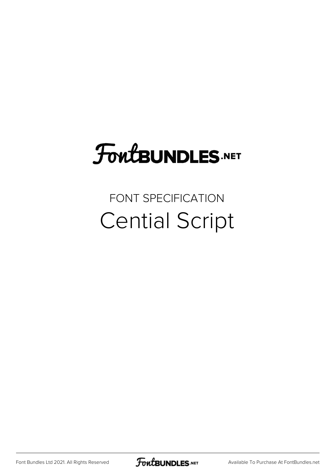## FoutBUNDLES.NET

## FONT SPECIFICATION Cential Script

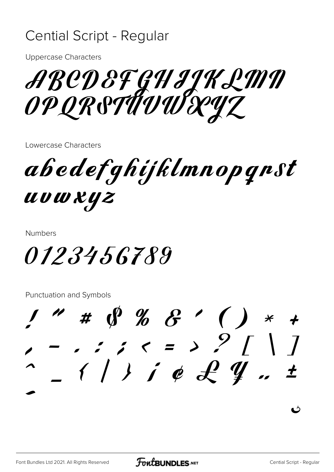## **Cential Script - Regular**

**Uppercase Characters** 

ABCD & FGH IJK LMN<br>OP QR STUVWXYZ

Lowercase Characters

abedefghijklmnopgnst **UUWKYZ** 

**Numbers** 

*0123456789* 

**Punctuation and Symbols** 

 $1''$  #  $0\%$  & ' ( ) \*  $\frac{1}{2}$  =  $\frac{1}{2}$  ;  $\frac{1}{2}$  =  $\frac{1}{2}$   $\frac{1}{2}$   $\frac{1}{4}$   $\frac{1}{4}$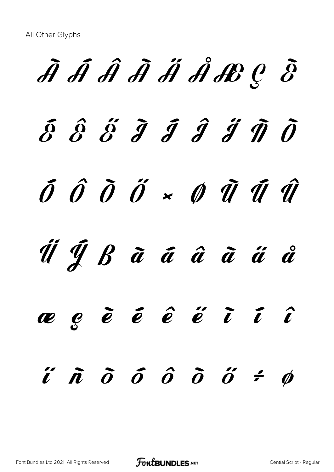À Á Â Ã Ä Å Æ Ç È  $\delta$   $\hat{\delta}$   $\tilde{j}$   $\hat{j}$   $\hat{j}$   $\hat{j}$   $\hat{\eta}$   $\hat{\theta}$  $\tilde{0}$   $\hat{0}$   $\tilde{0}$   $\tilde{0}$   $\times$   $\tilde{0}$   $\tilde{u}$   $\tilde{u}$   $\tilde{u}$ Ü Ý ß à á â ã ä å æ ç è é ê ë ì í î  $i'$   $\tilde{n}$   $\tilde{o}$   $\tilde{o}$   $\tilde{o}$   $\tilde{o}$   $\tilde{o}$   $\tilde{o}$   $\tilde{o}$   $\tilde{o}$   $\tilde{o}$   $\tilde{o}$   $\tilde{o}$   $\tilde{o}$   $\tilde{o}$   $\tilde{o}$   $\tilde{o}$   $\tilde{o}$   $\tilde{o}$   $\tilde{o}$   $\tilde{o}$   $\tilde{o}$   $\tilde{o}$   $\tilde{o}$   $\tilde{o}$   $\tilde{o}$   $\tilde{o}$   $\tilde{o}$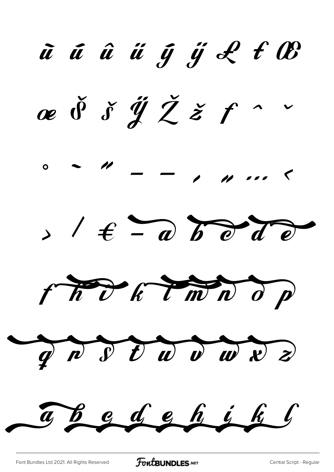ũú ũ i ỹ i L t O æ  $\check{\theta}$   $\check{\delta}$   $\check{\mathscr{Y}}$   $\check{Z}$   $\check{z}$   $f$   $\sim$  $0$  and  $-$  and  $-$  and  $-$  and  $-$  and  $-$  and  $> 1 \t\t\epsilon - a$  b d d d The CHWN OP  $\gamma$   $\sim$   $\gamma$   $\sim$   $\omega$   $\omega$   $\approx$   $\approx$ The dehihl